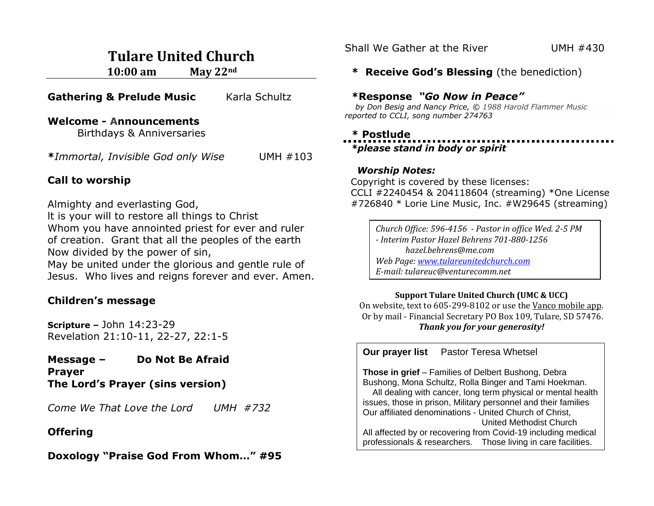# **Tulare United Church**

**10:00 am May 22nd**

|  |  | <b>Gathering &amp; Prelude Music</b> | Karla Schultz |
|--|--|--------------------------------------|---------------|
|--|--|--------------------------------------|---------------|

#### **Welcome - Announcements**

Birthdays & Anniversaries

**\****Immortal, Invisible God only Wise* UMH #103

#### **Call to worship**

Almighty and everlasting God,

lt is your will to restore all things to Christ Whom you have annointed priest for ever and ruler of creation. Grant that all the peoples of the earth Now divided by the power of sin, May be united under the glorious and gentle rule of Jesus. Who lives and reigns forever and ever. Amen.

# **Children's message**

**Scripture –** John 14:23-29 Revelation 21:10-11, 22-27, 22:1-5

**Message – Do Not Be Afraid Prayer The Lord's Prayer (sins version)**

*Come We That Love the Lord UMH #732*

### **Offering**

**Doxology "Praise God From Whom…" #95**

Shall We Gather at the River UMH #430

#### **\* Receive God's Blessing** (the benediction)

#### **\*Response** *"Go Now in Peace"*

 *by Don Besig and Nancy Price, © 1988 Harold Flammer Music reported to CCLI, song number 274763*

#### **\* Postlude**

 *\*please stand in body or spirit*

#### *Worship Notes:*

Copyright is covered by these licenses: CCLI #2240454 & 204118604 (streaming) \*One License #726840 \* Lorie Line Music, Inc. #W29645 (streaming)

*Church Office: 596-4156 - Pastor in office Wed. 2-5 PM - Interim Pastor Hazel Behrens 701-880-1256 hazel.behrens@me.com Web Page: [www.tulareunitedchurch.com](http://www.tulareunitedchurch.com/) E-mail: tulareuc@venturecomm.net*

#### **Support Tulare United Church (UMC & UCC)**

On website, text to 605-299-8102 or use the Vanco mobile app. Or by mail - Financial Secretary PO Box 109, Tulare, SD 57476. *Thank you for your generosity!*

**Our prayer list** Pastor Teresa Whetsel

**Those in grief** – Families of Delbert Bushong, Debra Bushong, Mona Schultz, Rolla Binger and Tami Hoekman.

 All dealing with cancer, long term physical or mental health issues, those in prison, Military personnel and their families Our affiliated denominations - United Church of Christ,

United Methodist Church All affected by or recovering from Covid-19 including medical professionals & researchers. Those living in care facilities.